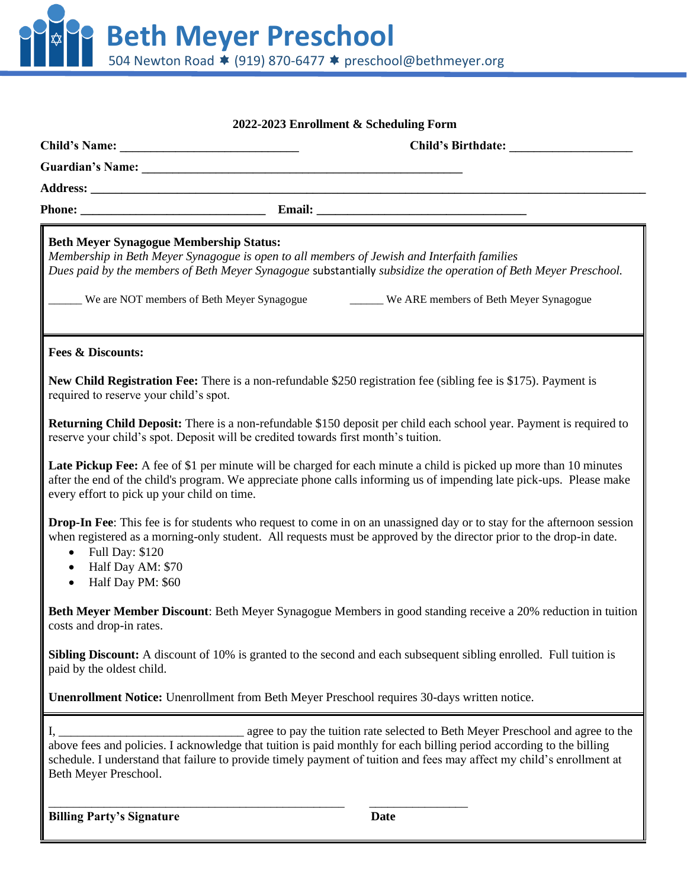**Beth Meyer Preschool** 504 Newton Road ★ (919) 870-6477 ★ preschool@bethmeyer.org

| 2022-2023 Enrollment & Scheduling Form                          |                                                                                                                                                                                  |             |                                                                                                                                                                                                                                            |  |  |
|-----------------------------------------------------------------|----------------------------------------------------------------------------------------------------------------------------------------------------------------------------------|-------------|--------------------------------------------------------------------------------------------------------------------------------------------------------------------------------------------------------------------------------------------|--|--|
|                                                                 |                                                                                                                                                                                  |             |                                                                                                                                                                                                                                            |  |  |
|                                                                 |                                                                                                                                                                                  |             |                                                                                                                                                                                                                                            |  |  |
|                                                                 |                                                                                                                                                                                  |             |                                                                                                                                                                                                                                            |  |  |
|                                                                 |                                                                                                                                                                                  |             |                                                                                                                                                                                                                                            |  |  |
| <b>Beth Meyer Synagogue Membership Status:</b>                  | Membership in Beth Meyer Synagogue is open to all members of Jewish and Interfaith families<br>We are NOT members of Beth Meyer Synagogue We ARE members of Beth Meyer Synagogue |             | Dues paid by the members of Beth Meyer Synagogue substantially subsidize the operation of Beth Meyer Preschool.                                                                                                                            |  |  |
| <b>Fees &amp; Discounts:</b>                                    |                                                                                                                                                                                  |             |                                                                                                                                                                                                                                            |  |  |
| required to reserve your child's spot.                          | New Child Registration Fee: There is a non-refundable \$250 registration fee (sibling fee is \$175). Payment is                                                                  |             |                                                                                                                                                                                                                                            |  |  |
|                                                                 | reserve your child's spot. Deposit will be credited towards first month's tuition.                                                                                               |             | <b>Returning Child Deposit:</b> There is a non-refundable \$150 deposit per child each school year. Payment is required to                                                                                                                 |  |  |
| every effort to pick up your child on time.                     |                                                                                                                                                                                  |             | Late Pickup Fee: A fee of \$1 per minute will be charged for each minute a child is picked up more than 10 minutes<br>after the end of the child's program. We appreciate phone calls informing us of impending late pick-ups. Please make |  |  |
| • Full Day: \$120<br>• Half Day AM: \$70<br>• Half Day PM: \$60 | when registered as a morning-only student. All requests must be approved by the director prior to the drop-in date.                                                              |             | <b>Drop-In Fee:</b> This fee is for students who request to come in on an unassigned day or to stay for the afternoon session                                                                                                              |  |  |
| costs and drop-in rates.                                        |                                                                                                                                                                                  |             | Beth Meyer Member Discount: Beth Meyer Synagogue Members in good standing receive a 20% reduction in tuition                                                                                                                               |  |  |
| paid by the oldest child.                                       | <b>Sibling Discount:</b> A discount of 10% is granted to the second and each subsequent sibling enrolled. Full tuition is                                                        |             |                                                                                                                                                                                                                                            |  |  |
|                                                                 | <b>Unenrollment Notice:</b> Unenrollment from Beth Meyer Preschool requires 30-days written notice.                                                                              |             |                                                                                                                                                                                                                                            |  |  |
| Beth Meyer Preschool.                                           | above fees and policies. I acknowledge that tuition is paid monthly for each billing period according to the billing                                                             |             | agree to pay the tuition rate selected to Beth Meyer Preschool and agree to the<br>schedule. I understand that failure to provide timely payment of tuition and fees may affect my child's enrollment at                                   |  |  |
| <b>Billing Party's Signature</b>                                |                                                                                                                                                                                  | <b>Date</b> |                                                                                                                                                                                                                                            |  |  |